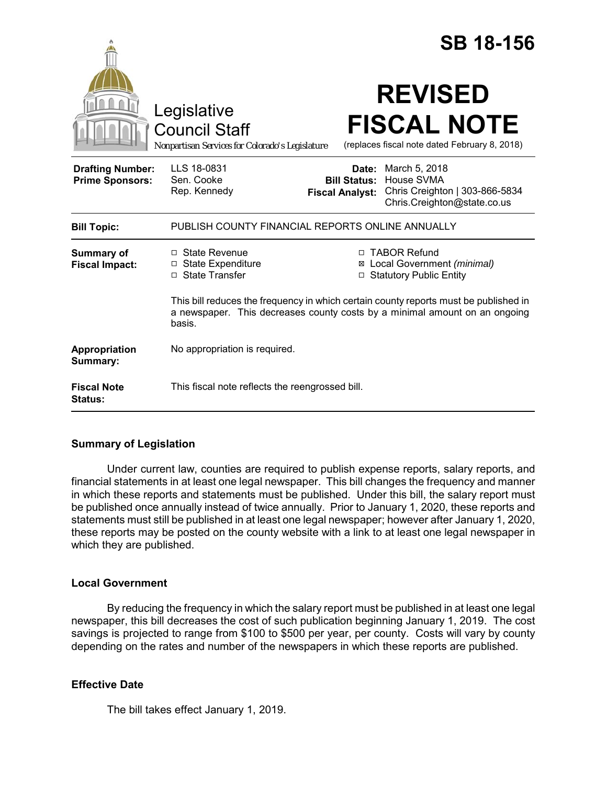|                                                   |                                                                                                                                                                              |                                                        | <b>SB 18-156</b>                                                                             |
|---------------------------------------------------|------------------------------------------------------------------------------------------------------------------------------------------------------------------------------|--------------------------------------------------------|----------------------------------------------------------------------------------------------|
|                                                   | Legislative<br><b>Council Staff</b><br>Nonpartisan Services for Colorado's Legislature                                                                                       |                                                        | <b>REVISED</b><br><b>FISCAL NOTE</b><br>(replaces fiscal note dated February 8, 2018)        |
| <b>Drafting Number:</b><br><b>Prime Sponsors:</b> | LLS 18-0831<br>Sen. Cooke<br>Rep. Kennedy                                                                                                                                    | Date:<br><b>Bill Status:</b><br><b>Fiscal Analyst:</b> | March 5, 2018<br>House SVMA<br>Chris Creighton   303-866-5834<br>Chris.Creighton@state.co.us |
| <b>Bill Topic:</b>                                | PUBLISH COUNTY FINANCIAL REPORTS ONLINE ANNUALLY                                                                                                                             |                                                        |                                                                                              |
| Summary of<br><b>Fiscal Impact:</b>               | $\Box$ State Revenue<br>□ State Expenditure<br>□ State Transfer                                                                                                              | Ø                                                      | □ TABOR Refund<br>Local Government (minimal)<br><b>Statutory Public Entity</b>               |
|                                                   | This bill reduces the frequency in which certain county reports must be published in<br>a newspaper. This decreases county costs by a minimal amount on an ongoing<br>basis. |                                                        |                                                                                              |
| Appropriation<br>Summary:                         | No appropriation is required.                                                                                                                                                |                                                        |                                                                                              |
| <b>Fiscal Note</b><br>Status:                     | This fiscal note reflects the reengrossed bill.                                                                                                                              |                                                        |                                                                                              |

## **Summary of Legislation**

Under current law, counties are required to publish expense reports, salary reports, and financial statements in at least one legal newspaper. This bill changes the frequency and manner in which these reports and statements must be published. Under this bill, the salary report must be published once annually instead of twice annually. Prior to January 1, 2020, these reports and statements must still be published in at least one legal newspaper; however after January 1, 2020, these reports may be posted on the county website with a link to at least one legal newspaper in which they are published.

## **Local Government**

By reducing the frequency in which the salary report must be published in at least one legal newspaper, this bill decreases the cost of such publication beginning January 1, 2019. The cost savings is projected to range from \$100 to \$500 per year, per county. Costs will vary by county depending on the rates and number of the newspapers in which these reports are published.

## **Effective Date**

The bill takes effect January 1, 2019.